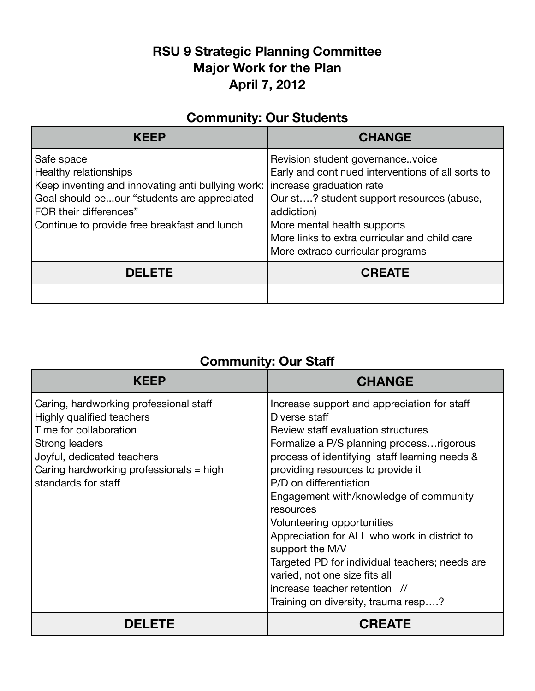## **RSU 9 Strategic Planning Committee Major Work for the Plan April 7, 2012**

## **Community: Our Students**

| KFFP                                                                                                                                                                                                              | <b>CHANGE</b>                                                                                                                                                                                                                                                                                    |
|-------------------------------------------------------------------------------------------------------------------------------------------------------------------------------------------------------------------|--------------------------------------------------------------------------------------------------------------------------------------------------------------------------------------------------------------------------------------------------------------------------------------------------|
| Safe space<br>Healthy relationships<br>Keep inventing and innovating anti bullying work:<br>Goal should beour "students are appreciated<br>FOR their differences"<br>Continue to provide free breakfast and lunch | Revision student governancevoice<br>Early and continued interventions of all sorts to<br>increase graduation rate<br>Our st? student support resources (abuse,<br>addiction)<br>More mental health supports<br>More links to extra curricular and child care<br>More extraco curricular programs |
| <b>DELETE</b>                                                                                                                                                                                                     | <b>CREATE</b>                                                                                                                                                                                                                                                                                    |
|                                                                                                                                                                                                                   |                                                                                                                                                                                                                                                                                                  |

## **Community: Our Staff**

| KFFP                                                                                                                                                                                                            | <b>CHANGE</b>                                                                                                                                                                                                                                                                                                                                                                                                                                                                                                                                                                      |
|-----------------------------------------------------------------------------------------------------------------------------------------------------------------------------------------------------------------|------------------------------------------------------------------------------------------------------------------------------------------------------------------------------------------------------------------------------------------------------------------------------------------------------------------------------------------------------------------------------------------------------------------------------------------------------------------------------------------------------------------------------------------------------------------------------------|
| Caring, hardworking professional staff<br>Highly qualified teachers<br>Time for collaboration<br>Strong leaders<br>Joyful, dedicated teachers<br>Caring hardworking professionals = high<br>standards for staff | Increase support and appreciation for staff<br>Diverse staff<br>Review staff evaluation structures<br>Formalize a P/S planning process rigorous<br>process of identifying staff learning needs &<br>providing resources to provide it<br>P/D on differentiation<br>Engagement with/knowledge of community<br>resources<br>Volunteering opportunities<br>Appreciation for ALL who work in district to<br>support the M/V<br>Targeted PD for individual teachers; needs are<br>varied, not one size fits all<br>increase teacher retention //<br>Training on diversity, trauma resp? |
| <b>DELETE</b>                                                                                                                                                                                                   | <b>CREATE</b>                                                                                                                                                                                                                                                                                                                                                                                                                                                                                                                                                                      |